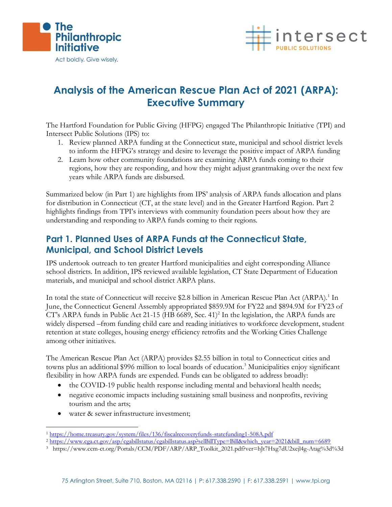



## **Analysis of the American Rescue Plan Act of 2021 (ARPA): Executive Summary**

The Hartford Foundation for Public Giving (HFPG) engaged The Philanthropic Initiative (TPI) and Intersect Public Solutions (IPS) to:

- 1. Review planned ARPA funding at the Connecticut state, municipal and school district levels to inform the HFPG's strategy and desire to leverage the positive impact of ARPA funding
- 2. Learn how other community foundations are examining ARPA funds coming to their regions, how they are responding, and how they might adjust grantmaking over the next few years while ARPA funds are disbursed.

Summarized below (in Part 1) are highlights from IPS' analysis of ARPA funds allocation and plans for distribution in Connecticut (CT, at the state level) and in the Greater Hartford Region. Part 2 highlights findings from TPI's interviews with community foundation peers about how they are understanding and responding to ARPA funds coming to their regions.

## **Part 1. Planned Uses of ARPA Funds at the Connecticut State, Municipal, and School District Levels**

IPS undertook outreach to ten greater Hartford municipalities and eight corresponding Alliance school districts. In addition, IPS reviewed available legislation, CT State Department of Education materials, and municipal and school district ARPA plans.

In total the state of Connecticut will receive \$2.8 billion in American Rescue Plan Act (ARPA).<sup>1</sup> In June, the Connecticut General Assembly appropriated \$859.9M for FY22 and \$894.9M for FY23 of CT's ARPA funds in Public Act 21-15 (HB 6689, Sec. 41)<sup>2</sup> In the legislation, the ARPA funds are widely dispersed –from funding child care and reading initiatives to workforce development, student retention at state colleges, housing energy efficiency retrofits and the Working Cities Challenge among other initiatives.

The American Rescue Plan Act (ARPA) provides \$2.55 billion in total to Connecticut cities and towns plus an additional \$996 million to local boards of education.<sup>3</sup> Municipalities enjoy significant flexibility in how ARPA funds are expended. Funds can be obligated to address broadly:

- the COVID-19 public health response including mental and behavioral health needs;
- negative economic impacts including sustaining small business and nonprofits, reviving tourism and the arts;
- water & sewer infrastructure investment;

3 https://www.ccm-ct.org/Portals/CCM/PDF/ARP/ARP\_Toolkit\_2021.pdf?ver=hJt7Hxg7dU2xejl4g-Atag%3d%3d

<sup>1</sup> <https://home.treasury.gov/system/files/136/fiscalrecoveryfunds-statefunding1-508A.pdf>

<sup>&</sup>lt;sup>2</sup> [https://www.cga.ct.gov/asp/cgabillstatus/cgabillstatus.asp?selBillType=Bill&which\\_year=2021&bill\\_num=6689](https://www.cga.ct.gov/asp/cgabillstatus/cgabillstatus.asp?selBillType=Bill&which_year=2021&bill_num=6689)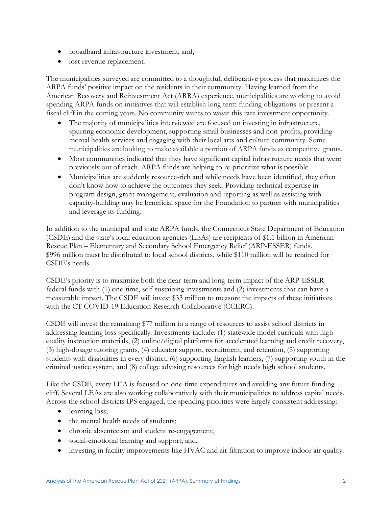- broadband infrastructure investment; and,
- lost revenue replacement.

The municipalities surveyed are committed to a thoughtful, deliberative process that maximizes the ARPA funds' positive impact on the residents in their community. Having learned from the American Recovery and Reinvestment Act (ARRA) experience, municipalities are working to avoid spending ARPA funds on initiatives that will establish long term funding obligations or present a fiscal cliff in the coming years. No community wants to waste this rare investment opportunity.

- The majority of municipalities interviewed are focused on investing in infrastructure, spurring economic development, supporting small businesses and non-profits, providing mental health services and engaging with their local arts and culture community. Some municipalities are looking to make available a portion of ARPA funds as competitive grants.
- Most communities indicated that they have significant capital infrastructure needs that were previously out of reach. ARPA funds are helping to re-prioritize what is possible.
- Municipalities are suddenly resource-rich and while needs have been identified, they often don't know how to achieve the outcomes they seek. Providing technical expertise in program design, grant management, evaluation and reporting as well as assisting with capacity-building may be beneficial space for the Foundation to partner with municipalities and leverage its funding.

In addition to the municipal and state ARPA funds, the Connecticut State Department of Education (CSDE) and the state's local education agencies (LEAs) are recipients of \$1.1 billion in American Rescue Plan – Elementary and Secondary School Emergency Relief (ARP-ESSER) funds. \$996 million must be distributed to local school districts, while \$110 million will be retained for CSDE's needs.

CSDE's priority is to maximize both the near-term and long-term impact of the ARP-ESSER federal funds with (1) one-time, self-sustaining investments and (2) investments that can have a measurable impact. The CSDE will invest \$33 million to measure the impacts of these initiatives with the CT COVID-19 Education Research Collaborative (CCERC).

CSDE will invest the remaining \$77 million in a range of resources to assist school districts in addressing learning loss specifically. Investments include: (1) statewide model curricula with high quality instruction materials, (2) online/digital platforms for accelerated learning and credit recovery, (3) high-dosage tutoring grants, (4) educator support, recruitment, and retention, (5) supporting students with disabilities in every district, (6) supporting English learners, (7) supporting youth in the criminal justice system, and (8) college advising resources for high needs high school students.

Like the CSDE, every LEA is focused on one-time expenditures and avoiding any future funding cliff. Several LEAs are also working collaboratively with their municipalities to address capital needs. Across the school districts IPS engaged, the spending priorities were largely consistent addressing:

- learning loss;
- the mental health needs of students;
- chronic absenteeism and student re-engagement;
- social-emotional learning and support; and,
- investing in facility improvements like HVAC and air filtration to improve indoor air quality.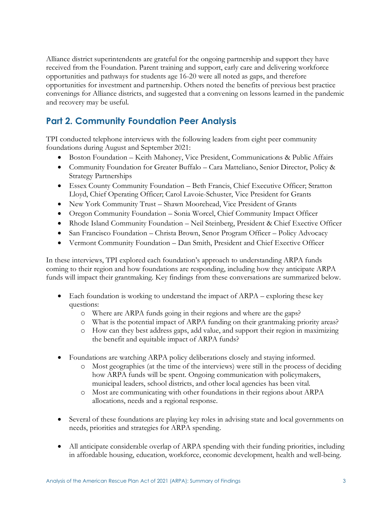Alliance district superintendents are grateful for the ongoing partnership and support they have received from the Foundation. Parent training and support, early care and delivering workforce opportunities and pathways for students age 16-20 were all noted as gaps, and therefore opportunities for investment and partnership. Others noted the benefits of previous best practice convenings for Alliance districts, and suggested that a convening on lessons learned in the pandemic and recovery may be useful.

## **Part 2. Community Foundation Peer Analysis**

TPI conducted telephone interviews with the following leaders from eight peer community foundations during August and September 2021:

- Boston Foundation Keith Mahoney, Vice President, Communications & Public Affairs
- Community Foundation for Greater Buffalo Cara Matteliano, Senior Director, Policy & Strategy Partnerships
- Essex County Community Foundation Beth Francis, Chief Executive Officer; Stratton Lloyd, Chief Operating Officer; Carol Lavoie-Schuster, Vice President for Grants
- New York Community Trust Shawn Moorehead, Vice President of Grants
- Oregon Community Foundation Sonia Worcel, Chief Community Impact Officer
- Rhode Island Community Foundation Neil Steinberg, President & Chief Exective Officer
- San Francisco Foundation Christa Brown, Senor Program Officer Policy Advocacy
- Vermont Community Foundation Dan Smith, President and Chief Exective Officer

In these interviews, TPI explored each foundation's approach to understanding ARPA funds coming to their region and how foundations are responding, including how they anticipate ARPA funds will impact their grantmaking. Key findings from these conversations are summarized below.

- Each foundation is working to understand the impact of ARPA exploring these key questions:
	- o Where are ARPA funds going in their regions and where are the gaps?
	- o What is the potential impact of ARPA funding on their grantmaking priority areas?
	- o How can they best address gaps, add value, and support their region in maximizing the benefit and equitable impact of ARPA funds?
- Foundations are watching ARPA policy deliberations closely and staying informed.
	- o Most geographies (at the time of the interviews) were still in the process of deciding how ARPA funds will be spent. Ongoing communication with policymakers, municipal leaders, school districts, and other local agencies has been vital.
	- o Most are communicating with other foundations in their regions about ARPA allocations, needs and a regional response.
- Several of these foundations are playing key roles in advising state and local governments on needs, priorities and strategies for ARPA spending.
- All anticipate considerable overlap of ARPA spending with their funding priorities, including in affordable housing, education, workforce, economic development, health and well-being.